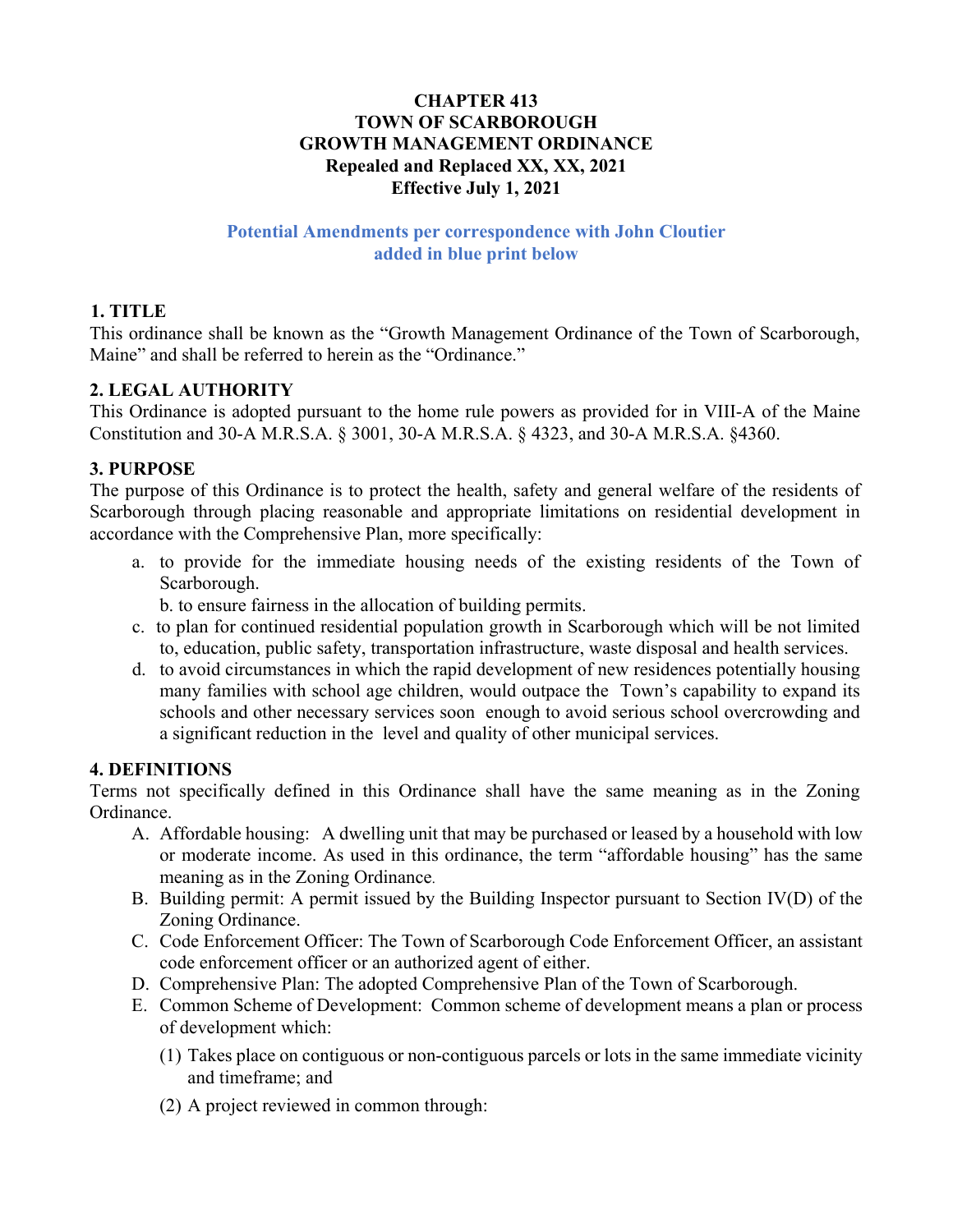#### **CHAPTER 413 TOWN OF SCARBOROUGH GROWTH MANAGEMENT ORDINANCE Repealed and Replaced XX, XX, 2021 Effective July 1, 2021**

#### **Potential Amendments per correspondence with John Cloutier added in blue print below**

## **1. TITLE**

This ordinance shall be known as the "Growth Management Ordinance of the Town of Scarborough, Maine" and shall be referred to herein as the "Ordinance."

## **2. LEGAL AUTHORITY**

This Ordinance is adopted pursuant to the home rule powers as provided for in VIII-A of the Maine Constitution and 30-A M.R.S.A. § 3001, 30-A M.R.S.A. § 4323, and 30-A M.R.S.A. §4360.

#### **3. PURPOSE**

The purpose of this Ordinance is to protect the health, safety and general welfare of the residents of Scarborough through placing reasonable and appropriate limitations on residential development in accordance with the Comprehensive Plan, more specifically:

a. to provide for the immediate housing needs of the existing residents of the Town of Scarborough.

b. to ensure fairness in the allocation of building permits.

- c. to plan for continued residential population growth in Scarborough which will be not limited to, education, public safety, transportation infrastructure, waste disposal and health services.
- d. to avoid circumstances in which the rapid development of new residences potentially housing many families with school age children, would outpace the Town's capability to expand its schools and other necessary services soon enough to avoid serious school overcrowding and a significant reduction in the level and quality of other municipal services.

## **4. DEFINITIONS**

Terms not specifically defined in this Ordinance shall have the same meaning as in the Zoning Ordinance.

- A. Affordable housing: A dwelling unit that may be purchased or leased by a household with low or moderate income. As used in this ordinance, the term "affordable housing" has the same meaning as in the Zoning Ordinance.
- B. Building permit: A permit issued by the Building Inspector pursuant to Section IV(D) of the Zoning Ordinance.
- C. Code Enforcement Officer: The Town of Scarborough Code Enforcement Officer, an assistant code enforcement officer or an authorized agent of either.
- D. Comprehensive Plan: The adopted Comprehensive Plan of the Town of Scarborough.
- E. Common Scheme of Development: Common scheme of development means a plan or process of development which:
	- (1) Takes place on contiguous or non-contiguous parcels or lots in the same immediate vicinity and timeframe; and
	- (2) A project reviewed in common through: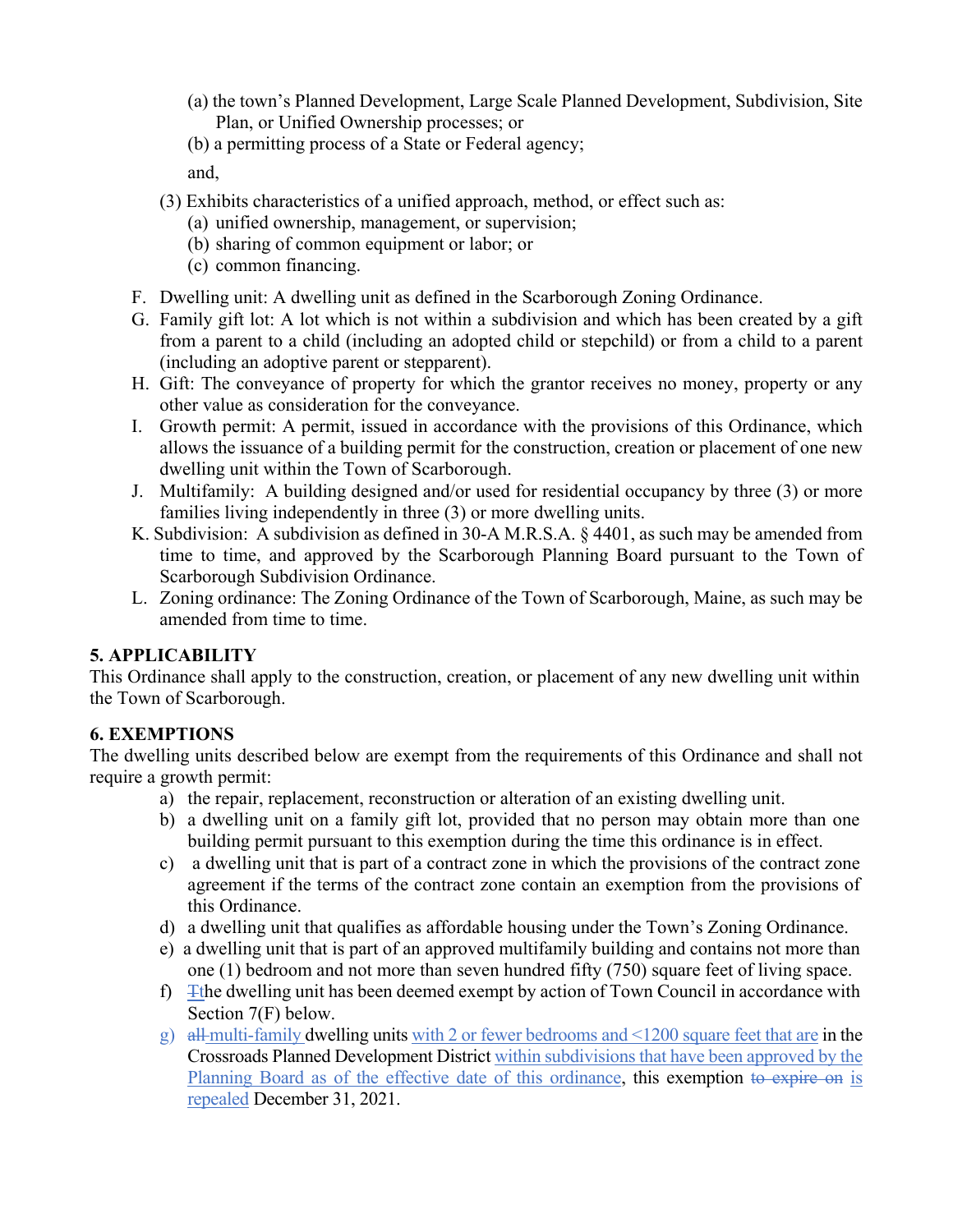- (a) the town's Planned Development, Large Scale Planned Development, Subdivision, Site Plan, or Unified Ownership processes; or
- (b) a permitting process of a State or Federal agency; and,
- (3) Exhibits characteristics of a unified approach, method, or effect such as:
	- (a) unified ownership, management, or supervision;
	- (b) sharing of common equipment or labor; or
	- (c) common financing.
- F. Dwelling unit: A dwelling unit as defined in the Scarborough Zoning Ordinance.
- G. Family gift lot: A lot which is not within a subdivision and which has been created by a gift from a parent to a child (including an adopted child or stepchild) or from a child to a parent (including an adoptive parent or stepparent).
- H. Gift: The conveyance of property for which the grantor receives no money, property or any other value as consideration for the conveyance.
- I. Growth permit: A permit, issued in accordance with the provisions of this Ordinance, which allows the issuance of a building permit for the construction, creation or placement of one new dwelling unit within the Town of Scarborough.
- J. Multifamily: A building designed and/or used for residential occupancy by three (3) or more families living independently in three (3) or more dwelling units.
- K. Subdivision: A subdivision as defined in 30-A M.R.S.A. § 4401, as such may be amended from time to time, and approved by the Scarborough Planning Board pursuant to the Town of Scarborough Subdivision Ordinance.
- L. Zoning ordinance: The Zoning Ordinance of the Town of Scarborough, Maine, as such may be amended from time to time.

## **5. APPLICABILITY**

This Ordinance shall apply to the construction, creation, or placement of any new dwelling unit within the Town of Scarborough.

## **6. EXEMPTIONS**

The dwelling units described below are exempt from the requirements of this Ordinance and shall not require a growth permit:

- a) the repair, replacement, reconstruction or alteration of an existing dwelling unit.
- b) a dwelling unit on a family gift lot, provided that no person may obtain more than one building permit pursuant to this exemption during the time this ordinance is in effect.
- c) a dwelling unit that is part of a contract zone in which the provisions of the contract zone agreement if the terms of the contract zone contain an exemption from the provisions of this Ordinance.
- d) a dwelling unit that qualifies as affordable housing under the Town's Zoning Ordinance.
- e) a dwelling unit that is part of an approved multifamily building and contains not more than one (1) bedroom and not more than seven hundred fifty (750) square feet of living space.
- f)  $\pm$ the dwelling unit has been deemed exempt by action of Town Council in accordance with Section 7(F) below.
- g) all multi-family dwelling units with 2 or fewer bedrooms and  $\leq 1200$  square feet that are in the Crossroads Planned Development District within subdivisions that have been approved by the Planning Board as of the effective date of this ordinance, this exemption to expire on is repealed December 31, 2021.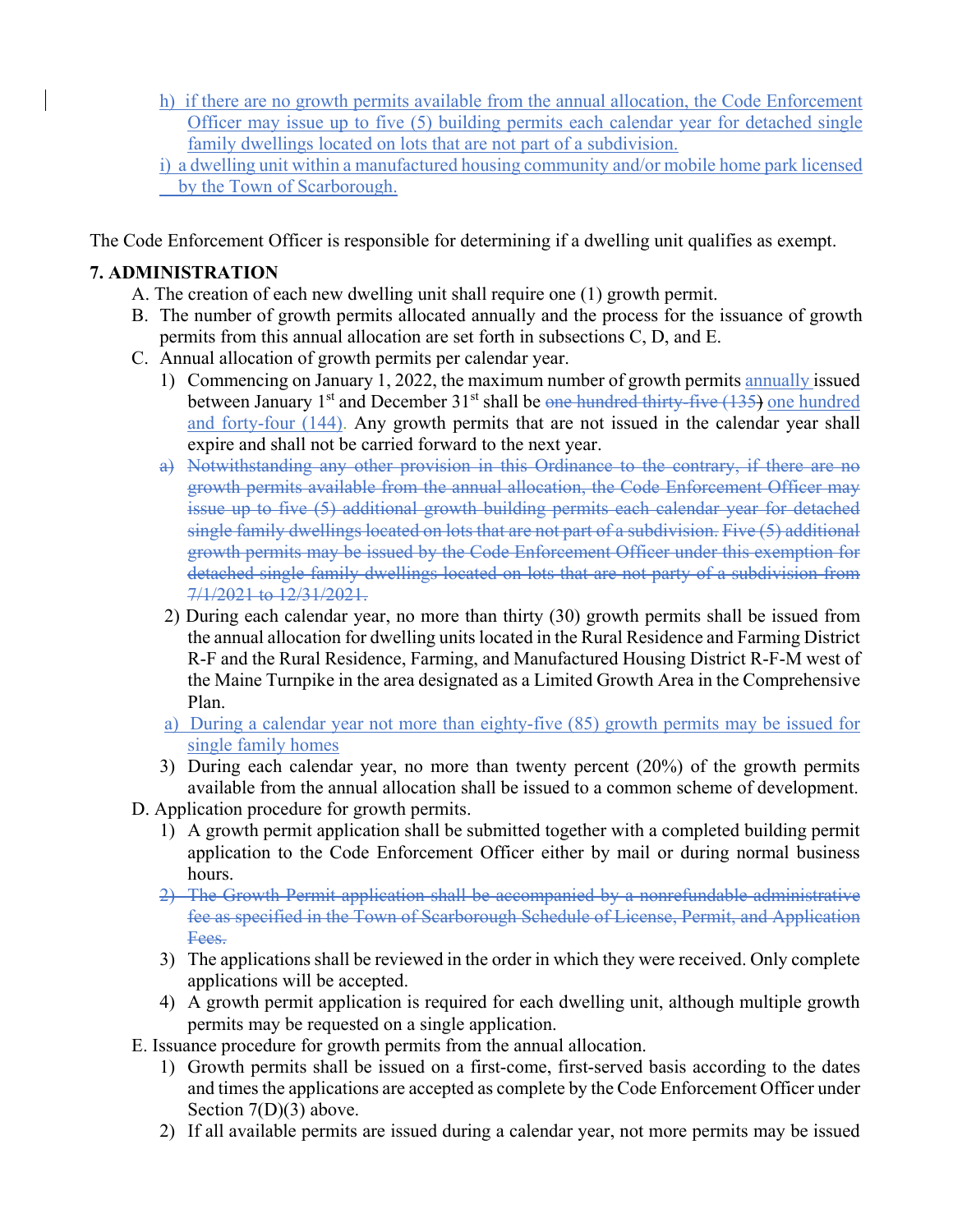- h) if there are no growth permits available from the annual allocation, the Code Enforcement Officer may issue up to five (5) building permits each calendar year for detached single family dwellings located on lots that are not part of a subdivision.
- i) a dwelling unit within a manufactured housing community and/or mobile home park licensed by the Town of Scarborough.

The Code Enforcement Officer is responsible for determining if a dwelling unit qualifies as exempt.

## **7. ADMINISTRATION**

- A. The creation of each new dwelling unit shall require one (1) growth permit.
- B. The number of growth permits allocated annually and the process for the issuance of growth permits from this annual allocation are set forth in subsections C, D, and E.
- C. Annual allocation of growth permits per calendar year.
	- 1) Commencing on January 1, 2022, the maximum number of growth permits annually issued between January 1<sup>st</sup> and December  $31<sup>st</sup>$  shall be one hundred thirty-five (135) one hundred and forty-four (144). Any growth permits that are not issued in the calendar year shall expire and shall not be carried forward to the next year.
	- a) Notwithstanding any other provision in this Ordinance to the contrary, if there are no growth permits available from the annual allocation, the Code Enforcement Officer may issue up to five (5) additional growth building permits each calendar year for detached single family dwellings located on lots that are not part of a subdivision. Five (5) additional growth permits may be issued by the Code Enforcement Officer under this exemption for detached single family dwellings located on lots that are not party of a subdivision from 7/1/2021 to 12/31/2021.
	- 2) During each calendar year, no more than thirty (30) growth permits shall be issued from the annual allocation for dwelling units located in the Rural Residence and Farming District R-F and the Rural Residence, Farming, and Manufactured Housing District R-F-M west of the Maine Turnpike in the area designated as a Limited Growth Area in the Comprehensive Plan.
	- a) During a calendar year not more than eighty-five (85) growth permits may be issued for single family homes
	- 3) During each calendar year, no more than twenty percent (20%) of the growth permits available from the annual allocation shall be issued to a common scheme of development.
- D. Application procedure for growth permits.
	- 1) A growth permit application shall be submitted together with a completed building permit application to the Code Enforcement Officer either by mail or during normal business hours.
	- 2) The Growth Permit application shall be accompanied by a nonrefundable administrative fee as specified in the Town of Scarborough Schedule of License, Permit, and Application Fees.
	- 3) The applications shall be reviewed in the order in which they were received. Only complete applications will be accepted.
	- 4) A growth permit application is required for each dwelling unit, although multiple growth permits may be requested on a single application.
- E. Issuance procedure for growth permits from the annual allocation.
	- 1) Growth permits shall be issued on a first-come, first-served basis according to the dates and times the applications are accepted as complete by the Code Enforcement Officer under Section 7(D)(3) above.
	- 2) If all available permits are issued during a calendar year, not more permits may be issued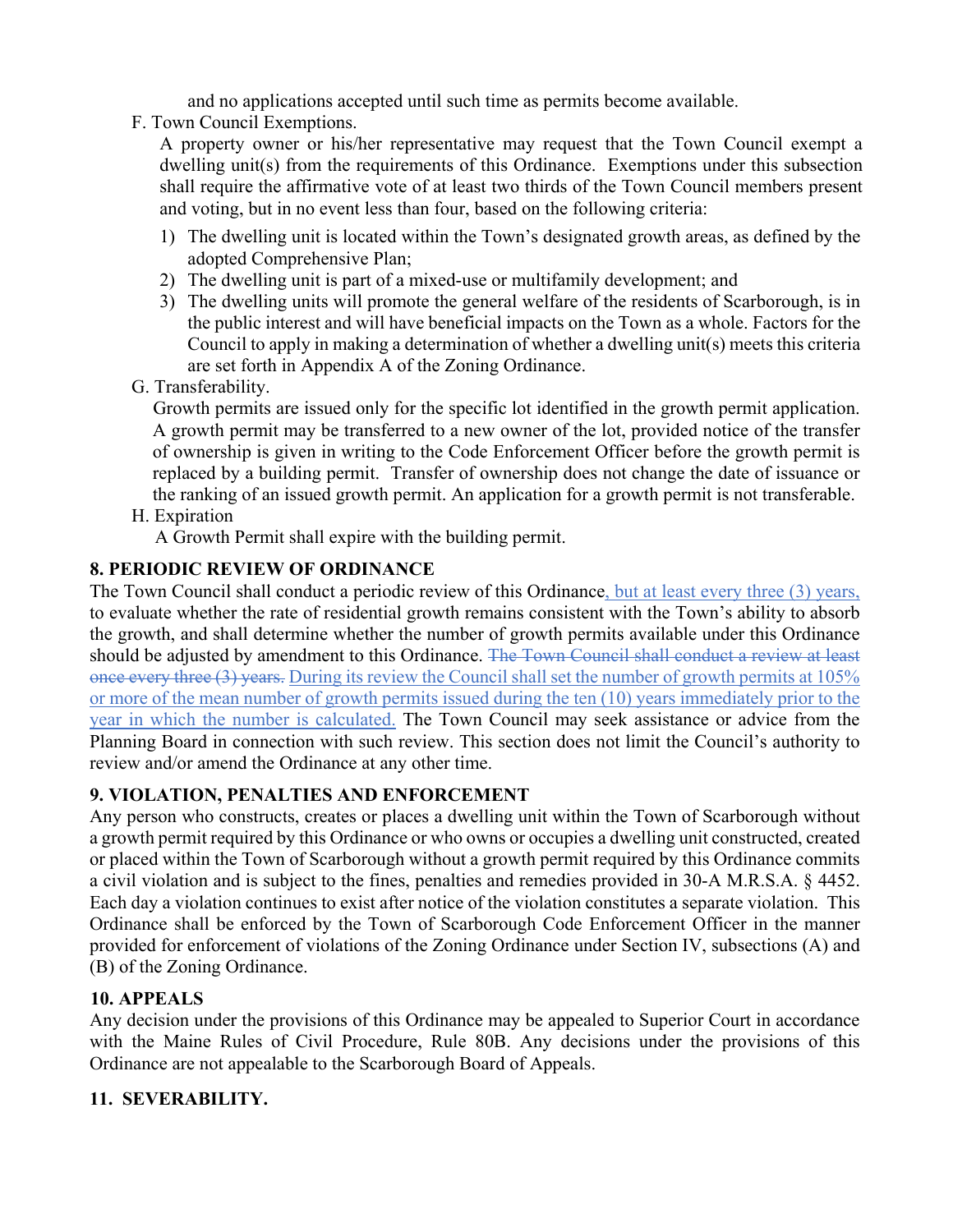and no applications accepted until such time as permits become available.

F. Town Council Exemptions.

A property owner or his/her representative may request that the Town Council exempt a dwelling unit(s) from the requirements of this Ordinance. Exemptions under this subsection shall require the affirmative vote of at least two thirds of the Town Council members present and voting, but in no event less than four, based on the following criteria:

- 1) The dwelling unit is located within the Town's designated growth areas, as defined by the adopted Comprehensive Plan;
- 2) The dwelling unit is part of a mixed-use or multifamily development; and
- 3) The dwelling units will promote the general welfare of the residents of Scarborough, is in the public interest and will have beneficial impacts on the Town as a whole. Factors for the Council to apply in making a determination of whether a dwelling unit(s) meets this criteria are set forth in Appendix A of the Zoning Ordinance.

G. Transferability.

Growth permits are issued only for the specific lot identified in the growth permit application. A growth permit may be transferred to a new owner of the lot, provided notice of the transfer of ownership is given in writing to the Code Enforcement Officer before the growth permit is replaced by a building permit. Transfer of ownership does not change the date of issuance or the ranking of an issued growth permit. An application for a growth permit is not transferable.

H. Expiration

A Growth Permit shall expire with the building permit.

# **8. PERIODIC REVIEW OF ORDINANCE**

The Town Council shall conduct a periodic review of this Ordinance, but at least every three (3) years, to evaluate whether the rate of residential growth remains consistent with the Town's ability to absorb the growth, and shall determine whether the number of growth permits available under this Ordinance should be adjusted by amendment to this Ordinance. The Town Council shall conduct a review at least once every three (3) years. During its review the Council shall set the number of growth permits at 105% or more of the mean number of growth permits issued during the ten (10) years immediately prior to the year in which the number is calculated. The Town Council may seek assistance or advice from the Planning Board in connection with such review. This section does not limit the Council's authority to review and/or amend the Ordinance at any other time.

# **9. VIOLATION, PENALTIES AND ENFORCEMENT**

Any person who constructs, creates or places a dwelling unit within the Town of Scarborough without a growth permit required by this Ordinance or who owns or occupies a dwelling unit constructed, created or placed within the Town of Scarborough without a growth permit required by this Ordinance commits a civil violation and is subject to the fines, penalties and remedies provided in 30-A M.R.S.A. § 4452. Each day a violation continues to exist after notice of the violation constitutes a separate violation. This Ordinance shall be enforced by the Town of Scarborough Code Enforcement Officer in the manner provided for enforcement of violations of the Zoning Ordinance under Section IV, subsections (A) and (B) of the Zoning Ordinance.

## **10. APPEALS**

Any decision under the provisions of this Ordinance may be appealed to Superior Court in accordance with the Maine Rules of Civil Procedure, Rule 80B. Any decisions under the provisions of this Ordinance are not appealable to the Scarborough Board of Appeals.

## **11. SEVERABILITY.**